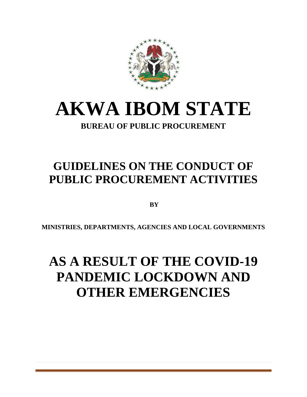

# **AKWA IBOM STATE**

### **BUREAU OF PUBLIC PROCUREMENT**

## **GUIDELINES ON THE CONDUCT OF PUBLIC PROCUREMENT ACTIVITIES**

**BY** 

**MINISTRIES, DEPARTMENTS, AGENCIES AND LOCAL GOVERNMENTS**

## **AS A RESULT OF THE COVID-19 PANDEMIC LOCKDOWN AND OTHER EMERGENCIES**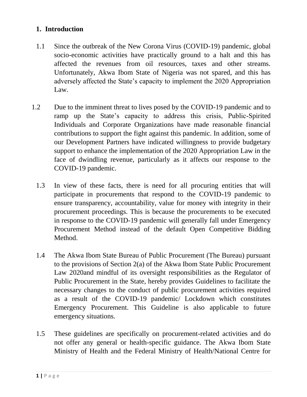#### **1. Introduction**

- 1.1 Since the outbreak of the New Corona Virus (COVID-19) pandemic, global socio-economic activities have practically ground to a halt and this has affected the revenues from oil resources, taxes and other streams. Unfortunately, Akwa Ibom State of Nigeria was not spared, and this has adversely affected the State's capacity to implement the 2020 Appropriation Law.
- 1.2 Due to the imminent threat to lives posed by the COVID-19 pandemic and to ramp up the State's capacity to address this crisis, Public-Spirited Individuals and Corporate Organizations have made reasonable financial contributions to support the fight against this pandemic. In addition, some of our Development Partners have indicated willingness to provide budgetary support to enhance the implementation of the 2020 Appropriation Law in the face of dwindling revenue, particularly as it affects our response to the COVID-19 pandemic.
	- 1.3 In view of these facts, there is need for all procuring entities that will participate in procurements that respond to the COVID-19 pandemic to ensure transparency, accountability, value for money with integrity in their procurement proceedings. This is because the procurements to be executed in response to the COVID-19 pandemic will generally fall under Emergency Procurement Method instead of the default Open Competitive Bidding Method.
	- 1.4 The Akwa Ibom State Bureau of Public Procurement (The Bureau) pursuant to the provisions of Section 2(a) of the Akwa Ibom State Public Procurement Law 2020and mindful of its oversight responsibilities as the Regulator of Public Procurement in the State, hereby provides Guidelines to facilitate the necessary changes to the conduct of public procurement activities required as a result of the COVID-19 pandemic/ Lockdown which constitutes Emergency Procurement. This Guideline is also applicable to future emergency situations.
	- 1.5 These guidelines are specifically on procurement-related activities and do not offer any general or health-specific guidance. The Akwa Ibom State Ministry of Health and the Federal Ministry of Health/National Centre for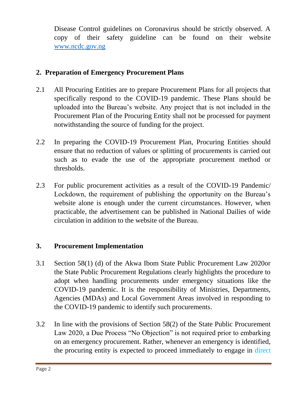Disease Control guidelines on Coronavirus should be strictly observed. A copy of their safety guideline can be found on their website [www.ncdc.gov.ng](http://www.ncdc.gov.ng/)

#### **2. Preparation of Emergency Procurement Plans**

- 2.1 All Procuring Entities are to prepare Procurement Plans for all projects that specifically respond to the COVID-19 pandemic. These Plans should be uploaded into the Bureau's website. Any project that is not included in the Procurement Plan of the Procuring Entity shall not be processed for payment notwithstanding the source of funding for the project.
- 2.2 In preparing the COVID-19 Procurement Plan, Procuring Entities should ensure that no reduction of values or splitting of procurements is carried out such as to evade the use of the appropriate procurement method or thresholds.
- 2.3 For public procurement activities as a result of the COVID-19 Pandemic/ Lockdown, the requirement of publishing the opportunity on the Bureau's website alone is enough under the current circumstances. However, when practicable, the advertisement can be published in National Dailies of wide circulation in addition to the website of the Bureau.

#### **3. Procurement Implementation**

- 3.1 Section 58(1) (d) of the Akwa Ibom State Public Procurement Law 2020or the State Public Procurement Regulations clearly highlights the procedure to adopt when handling procurements under emergency situations like the COVID-19 pandemic. It is the responsibility of Ministries, Departments, Agencies (MDAs) and Local Government Areas involved in responding to the COVID-19 pandemic to identify such procurements.
- 3.2 In line with the provisions of Section 58(2) of the State Public Procurement Law 2020, a Due Process "No Objection" is not required prior to embarking on an emergency procurement. Rather, whenever an emergency is identified, the procuring entity is expected to proceed immediately to engage in direct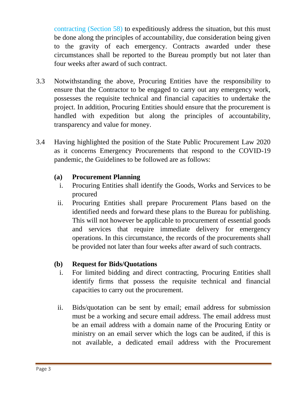contracting (Section 58) to expeditiously address the situation, but this must be done along the principles of accountability, due consideration being given to the gravity of each emergency. Contracts awarded under these circumstances shall be reported to the Bureau promptly but not later than four weeks after award of such contract.

- 3.3 Notwithstanding the above, Procuring Entities have the responsibility to ensure that the Contractor to be engaged to carry out any emergency work, possesses the requisite technical and financial capacities to undertake the project. In addition, Procuring Entities should ensure that the procurement is handled with expedition but along the principles of accountability, transparency and value for money.
- 3.4 Having highlighted the position of the State Public Procurement Law 2020 as it concerns Emergency Procurements that respond to the COVID-19 pandemic, the Guidelines to be followed are as follows:

#### **(a) Procurement Planning**

- i. Procuring Entities shall identify the Goods, Works and Services to be procured
- ii. Procuring Entities shall prepare Procurement Plans based on the identified needs and forward these plans to the Bureau for publishing. This will not however be applicable to procurement of essential goods and services that require immediate delivery for emergency operations. In this circumstance, the records of the procurements shall be provided not later than four weeks after award of such contracts.

#### **(b) Request for Bids/Quotations**

- i. For limited bidding and direct contracting, Procuring Entities shall identify firms that possess the requisite technical and financial capacities to carry out the procurement.
- ii. Bids/quotation can be sent by email; email address for submission must be a working and secure email address. The email address must be an email address with a domain name of the Procuring Entity or ministry on an email server which the logs can be audited, if this is not available, a dedicated email address with the Procurement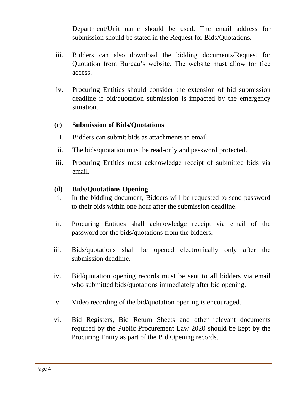Department/Unit name should be used. The email address for submission should be stated in the Request for Bids/Quotations.

- iii. Bidders can also download the bidding documents/Request for Quotation from Bureau's website. The website must allow for free access.
- iv. Procuring Entities should consider the extension of bid submission deadline if bid/quotation submission is impacted by the emergency situation.

#### **(c) Submission of Bids/Quotations**

- i. Bidders can submit bids as attachments to email.
- ii. The bids/quotation must be read-only and password protected.
- iii. Procuring Entities must acknowledge receipt of submitted bids via email.

#### **(d) Bids/Quotations Opening**

- i. In the bidding document, Bidders will be requested to send password to their bids within one hour after the submission deadline.
- ii. Procuring Entities shall acknowledge receipt via email of the password for the bids/quotations from the bidders.
- iii. Bids/quotations shall be opened electronically only after the submission deadline.
- iv. Bid/quotation opening records must be sent to all bidders via email who submitted bids/quotations immediately after bid opening.
- v. Video recording of the bid/quotation opening is encouraged.
- vi. Bid Registers, Bid Return Sheets and other relevant documents required by the Public Procurement Law 2020 should be kept by the Procuring Entity as part of the Bid Opening records.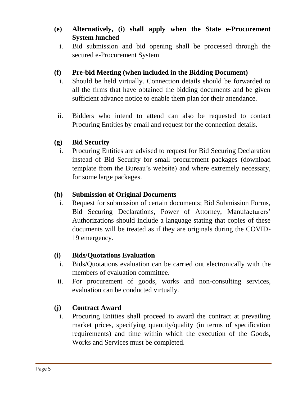#### **(e) Alternatively, (i) shall apply when the State e-Procurement System lunched**

i. Bid submission and bid opening shall be processed through the secured e-Procurement System

#### **(f) Pre-bid Meeting (when included in the Bidding Document)**

- i. Should be held virtually. Connection details should be forwarded to all the firms that have obtained the bidding documents and be given sufficient advance notice to enable them plan for their attendance.
- ii. Bidders who intend to attend can also be requested to contact Procuring Entities by email and request for the connection details.

#### **(g) Bid Security**

i. Procuring Entities are advised to request for Bid Securing Declaration instead of Bid Security for small procurement packages (download template from the Bureau's website) and where extremely necessary, for some large packages.

#### **(h) Submission of Original Documents**

i. Request for submission of certain documents; Bid Submission Forms, Bid Securing Declarations, Power of Attorney, Manufacturers' Authorizations should include a language stating that copies of these documents will be treated as if they are originals during the COVID-19 emergency.

#### **(i) Bids/Quotations Evaluation**

- i. Bids/Quotations evaluation can be carried out electronically with the members of evaluation committee.
- ii. For procurement of goods, works and non-consulting services, evaluation can be conducted virtually.

#### **(j) Contract Award**

i. Procuring Entities shall proceed to award the contract at prevailing market prices, specifying quantity/quality (in terms of specification requirements) and time within which the execution of the Goods, Works and Services must be completed.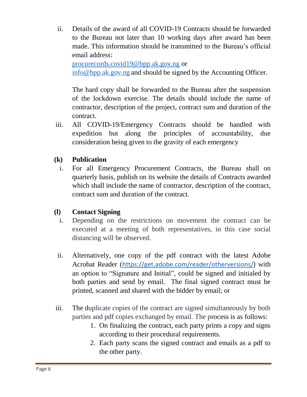ii. Details of the award of all COVID-19 Contracts should be forwarded to the Bureau not later than 10 working days after award has been made. This information should be transmitted to the Bureau's official email address:

[procurecords.covid19@bpp.ak.gov.ng](mailto:procurecords.covid19@bpp.ak.gov.ng) or [info@bpp.ak.gov.ng](mailto:info@bpp.ak.gov.ng) and should be signed by the Accounting Officer.

The hard copy shall be forwarded to the Bureau after the suspension of the lockdown exercise. The details should include the name of contractor, description of the project, contract sum and duration of the contract.

iii. All COVID-19/Emergency Contracts should be handled with expedition but along the principles of accountability, due consideration being given to the gravity of each emergency

#### **(k) Publication**

i. For all Emergency Procurement Contracts, the Bureau shall on quarterly basis, publish on its website the details of Contracts awarded which shall include the name of contractor, description of the contract, contract sum and duration of the contract.

#### **(l) Contact Signing**

- i. Depending on the restrictions on movement the contract can be executed at a meeting of both representatives, in this case social distancing will be observed.
- ii. Alternatively, one copy of the pdf contract with the latest Adobe Acrobat Reader ([https://get.adobe.com/reader/otherversions/\)](https://get.adobe.com/reader/otherversions/) with an option to "Signature and Initial", could be signed and initialed by both parties and send by email. The final signed contract must be printed, scanned and shared with the bidder by email; or
- iii. The duplicate copies of the contract are signed simultaneously by both parties and pdf copies exchanged by email. The process is as follows:
	- 1. On finalizing the contract, each party prints a copy and signs according to their procedural requirements.
	- 2. Each party scans the signed contract and emails as a pdf to the other party.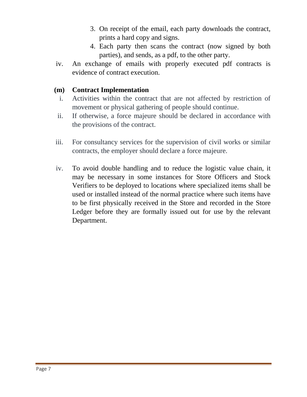- 3. On receipt of the email, each party downloads the contract, prints a hard copy and signs.
- 4. Each party then scans the contract (now signed by both parties), and sends, as a pdf, to the other party.
- iv. An exchange of emails with properly executed pdf contracts is evidence of contract execution.

#### **(m) Contract Implementation**

- i. Activities within the contract that are not affected by restriction of movement or physical gathering of people should continue.
- ii. If otherwise, a force majeure should be declared in accordance with the provisions of the contract.
- iii. For consultancy services for the supervision of civil works or similar contracts, the employer should declare a force majeure.
- iv. To avoid double handling and to reduce the logistic value chain, it may be necessary in some instances for Store Officers and Stock Verifiers to be deployed to locations where specialized items shall be used or installed instead of the normal practice where such items have to be first physically received in the Store and recorded in the Store Ledger before they are formally issued out for use by the relevant Department.